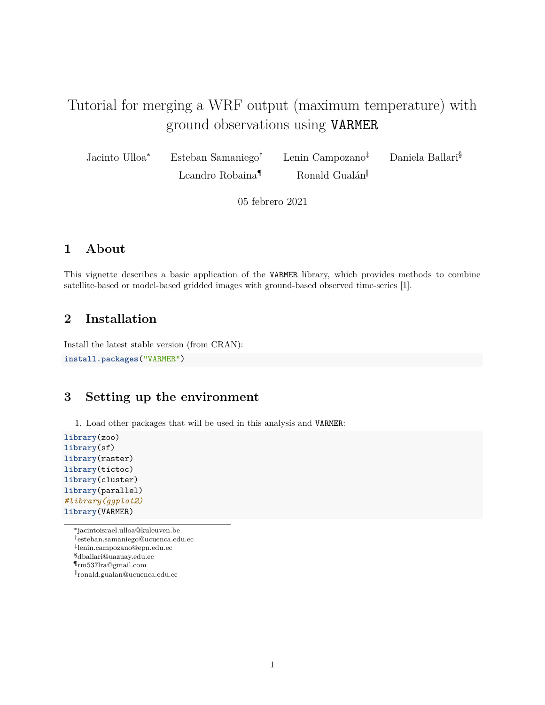# Tutorial for merging a WRF output (maximum temperature) with ground observations using VARMER

Jacinto Ulloa<sup>∗</sup> Esteban Samaniego† Lenin Campozano‡ Daniela Ballari§

Leandro Robaina<sup>¶</sup> Ronald Gualán

05 febrero 2021

### **1 About**

This vignette describes a basic application of the VARMER library, which provides methods to combine satellite-based or model-based gridded images with ground-based observed time-series [1].

### **2 Installation**

Install the latest stable version (from CRAN):

```
install.packages("VARMER")
```
### **3 Setting up the environment**

1. Load other packages that will be used in this analysis and VARMER:

```
library(zoo)
library(sf)
library(raster)
library(tictoc)
library(cluster)
library(parallel)
#library(ggplot2)
library(VARMER)
```
<sup>∗</sup> [jacintoisrael.ulloa@kuleuven.be](mailto:jacintoisrael.ulloa@kuleuven.be)

<sup>†</sup>[esteban.samaniego@ucuenca.edu.ec](mailto:esteban.samaniego@ucuenca.edu.ec)

<sup>‡</sup> [lenin.campozano@epn.edu.ec](mailto:lenin.campozano@epn.edu.ec)

<sup>§</sup>[dballari@uazuay.edu.ec](mailto:dballari@uazuay.edu.ec)

<sup>¶</sup>[rm537lra@gmail.com](mailto:rm537lra@gmail.com)

<sup>‖</sup> [ronald.gualan@ucuenca.edu.ec](mailto:ronald.gualan@ucuenca.edu.ec)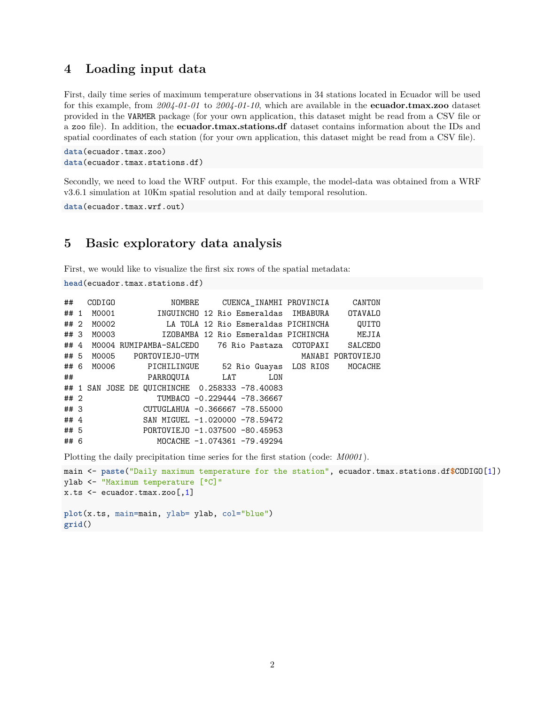#### **4 Loading input data**

First, daily time series of maximum temperature observations in 34 stations located in Ecuador will be used for this example, from *2004-01-01* to *2004-01-10*, which are available in the **ecuador.tmax.zoo** dataset provided in the VARMER package (for your own application, this dataset might be read from a CSV file or a zoo file). In addition, the **ecuador.tmax.stations.df** dataset contains information about the IDs and spatial coordinates of each station (for your own application, this dataset might be read from a CSV file).

```
data(ecuador.tmax.zoo)
data(ecuador.tmax.stations.df)
```
Secondly, we need to load the WRF output. For this example, the model-data was obtained from a WRF v3.6.1 simulation at 10Km spatial resolution and at daily temporal resolution.

**data**(ecuador.tmax.wrf.out)

#### **5 Basic exploratory data analysis**

First, we would like to visualize the first six rows of the spatial metadata:

```
head(ecuador.tmax.stations.df)
```

| ##     |           | CODIGO <b>CODIGO</b><br>NOMBRE CUENCA INAMHI PROVINCIA CANTON   |                   |
|--------|-----------|-----------------------------------------------------------------|-------------------|
|        |           |                                                                 |                   |
|        |           | ## 2 M0002 LA TOLA 12 Rio Esmeraldas PICHINCHA QUITO            |                   |
|        |           | ## 3 M0003       IZOBAMBA 12 Rio Esmeraldas PICHINCHA     MEJIA |                   |
|        |           | ## 4 M0004 RUMIPAMBA-SALCEDO 76 Rio Pastaza COTOPAXI SALCEDO    |                   |
|        |           | ## 5 M0005 PORTOVIEJO-UTM                                       | MANABI PORTOVIEJO |
|        |           | ## 6 M0006 PICHILINGUE 52 Rio Guayas LOS RIOS MOCACHE           |                   |
|        | $\#$ $\#$ | PARROQUIA LAT LON                                               |                   |
|        |           | ## 1 SAN JOSE DE QUICHINCHE 0.258333 -78.40083                  |                   |
| ## 2   |           | TUMBACO -0.229444 -78.36667                                     |                   |
| ## 3   |           | CUTUGLAHUA -0.366667 -78.55000                                  |                   |
| ## $4$ |           | SAN MIGUEL -1.020000 -78.59472                                  |                   |
| ## 5   |           | PORTOVIEJO -1.037500 -80.45953                                  |                   |
| ## 6   |           | MOCACHE -1.074361 -79.49294                                     |                   |

Plotting the daily precipitation time series for the first station (code: *M0001* ).

```
main <- paste("Daily maximum temperature for the station", ecuador.tmax.stations.df$CODIGO[1])
ylab <- "Maximum temperature [°C]"
x.ts < -ecuador.tmax.zoo[, 1]plot(x.ts, main=main, ylab= ylab, col="blue")
grid()
```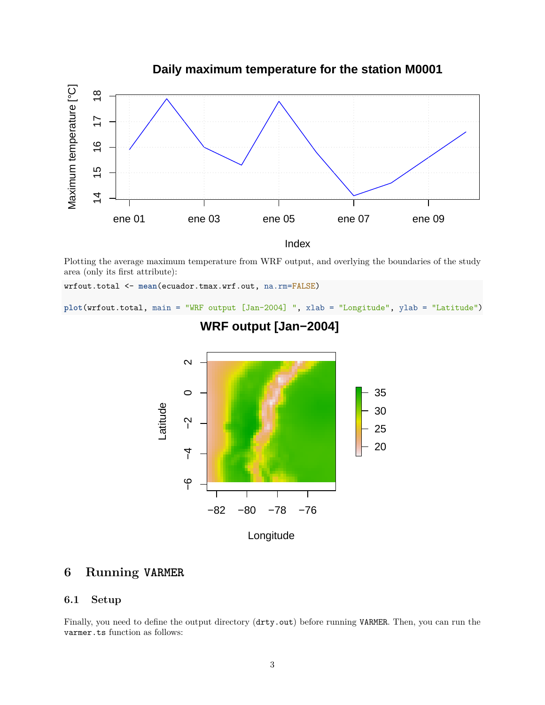

Plotting the average maximum temperature from WRF output, and overlying the boundaries of the study area (only its first attribute):

wrfout.total <- **mean**(ecuador.tmax.wrf.out, na.rm=FALSE)

**plot**(wrfout.total, main = "WRF output [Jan-2004] ", xlab = "Longitude", ylab = "Latitude")



# **WRF output [Jan−2004]**

### **6 Running VARMER**

#### **6.1 Setup**

Finally, you need to define the output directory (drty.out) before running VARMER. Then, you can run the varmer.ts function as follows: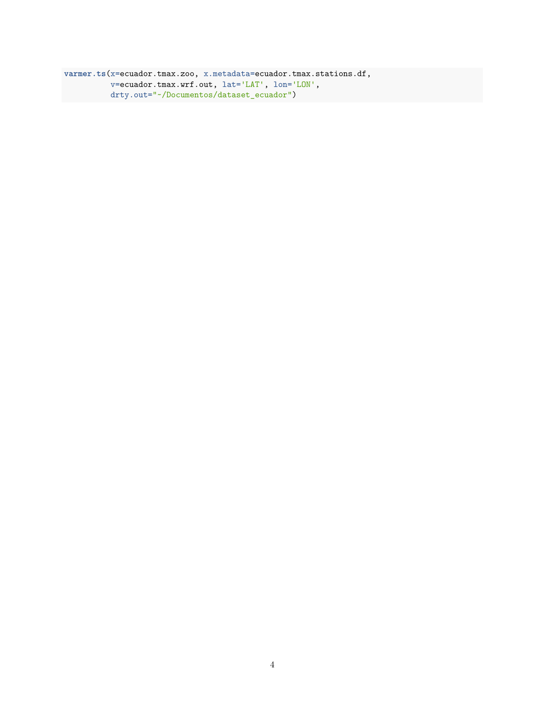**varmer.ts**(x=ecuador.tmax.zoo, x.metadata=ecuador.tmax.stations.df, v=ecuador.tmax.wrf.out, lat='LAT', lon='LON', drty.out="~/Documentos/dataset\_ecuador")